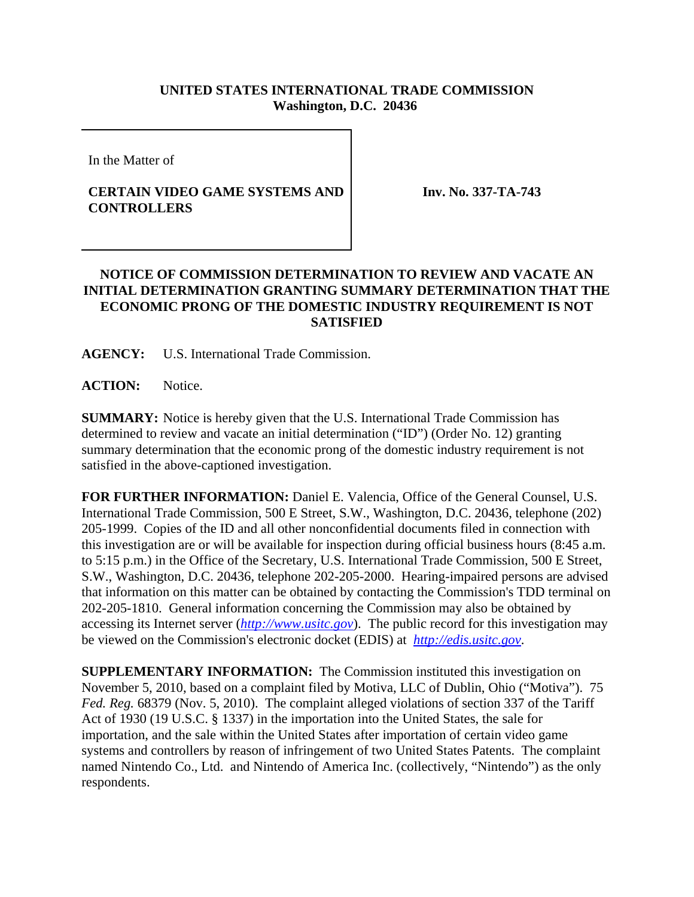## **UNITED STATES INTERNATIONAL TRADE COMMISSION Washington, D.C. 20436**

In the Matter of

## **CERTAIN VIDEO GAME SYSTEMS AND CONTROLLERS**

**Inv. No. 337-TA-743**

## **NOTICE OF COMMISSION DETERMINATION TO REVIEW AND VACATE AN INITIAL DETERMINATION GRANTING SUMMARY DETERMINATION THAT THE ECONOMIC PRONG OF THE DOMESTIC INDUSTRY REQUIREMENT IS NOT SATISFIED**

**AGENCY:** U.S. International Trade Commission.

ACTION: Notice.

**SUMMARY:** Notice is hereby given that the U.S. International Trade Commission has determined to review and vacate an initial determination ("ID") (Order No. 12) granting summary determination that the economic prong of the domestic industry requirement is not satisfied in the above-captioned investigation.

**FOR FURTHER INFORMATION:** Daniel E. Valencia, Office of the General Counsel, U.S. International Trade Commission, 500 E Street, S.W., Washington, D.C. 20436, telephone (202) 205-1999. Copies of the ID and all other nonconfidential documents filed in connection with this investigation are or will be available for inspection during official business hours (8:45 a.m. to 5:15 p.m.) in the Office of the Secretary, U.S. International Trade Commission, 500 E Street, S.W., Washington, D.C. 20436, telephone 202-205-2000. Hearing-impaired persons are advised that information on this matter can be obtained by contacting the Commission's TDD terminal on 202-205-1810. General information concerning the Commission may also be obtained by accessing its Internet server (*http://www.usitc.gov*). The public record for this investigation may be viewed on the Commission's electronic docket (EDIS) at *http://edis.usitc.gov*.

**SUPPLEMENTARY INFORMATION:** The Commission instituted this investigation on November 5, 2010, based on a complaint filed by Motiva, LLC of Dublin, Ohio ("Motiva"). 75 *Fed. Reg.* 68379 (Nov. 5, 2010). The complaint alleged violations of section 337 of the Tariff Act of 1930 (19 U.S.C. § 1337) in the importation into the United States, the sale for importation, and the sale within the United States after importation of certain video game systems and controllers by reason of infringement of two United States Patents. The complaint named Nintendo Co., Ltd. and Nintendo of America Inc. (collectively, "Nintendo") as the only respondents.